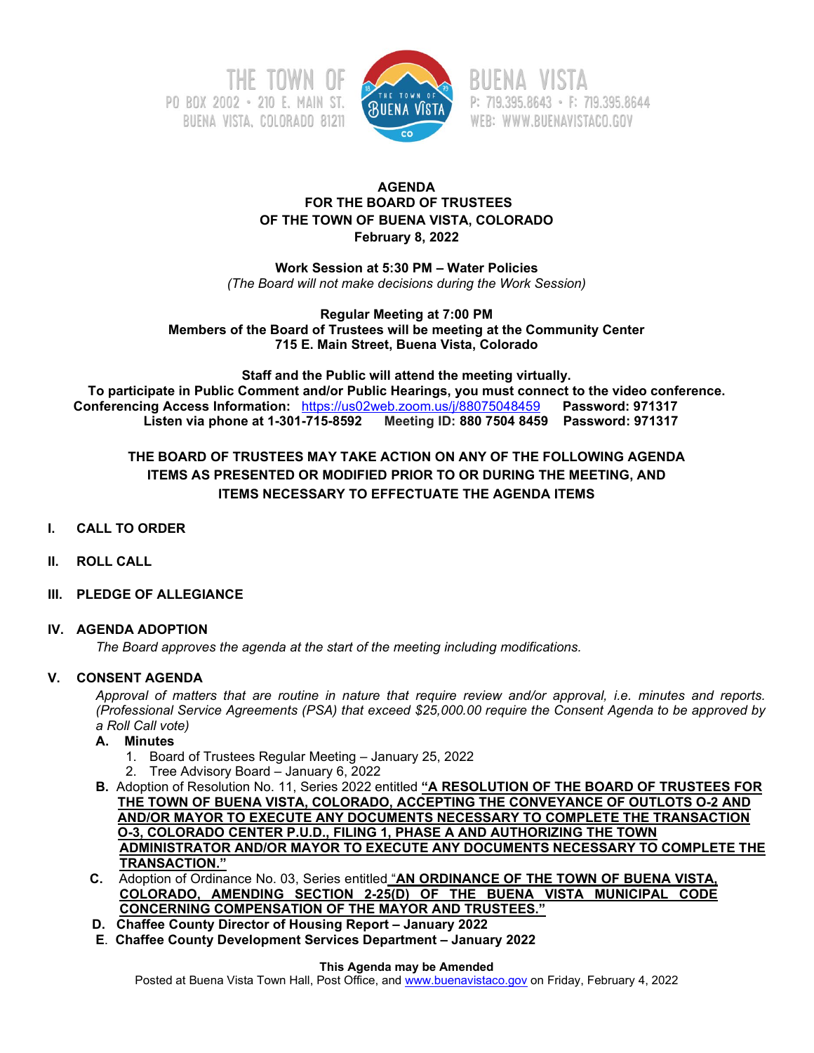



P: 719.395.8643 · F: 719.395.8644 WEB: WWW.BUENAVISTACO.GOV

### **AGENDA FOR THE BOARD OF TRUSTEES OF THE TOWN OF BUENA VISTA, COLORADO February 8, 2022**

**Work Session at 5:30 PM – Water Policies** *(The Board will not make decisions during the Work Session)*

#### **Regular Meeting at 7:00 PM Members of the Board of Trustees will be meeting at the Community Center 715 E. Main Street, Buena Vista, Colorado**

**Staff and the Public will attend the meeting virtually. To participate in Public Comment and/or Public Hearings, you must connect to the video conference. Conferencing Access Information:** <https://us02web.zoom.us/j/88075048459>**Password: 971317 Listen via phone at 1-301-715-8592 Meeting ID: 880 7504 8459 Password: 971317**

# **THE BOARD OF TRUSTEES MAY TAKE ACTION ON ANY OF THE FOLLOWING AGENDA ITEMS AS PRESENTED OR MODIFIED PRIOR TO OR DURING THE MEETING, AND ITEMS NECESSARY TO EFFECTUATE THE AGENDA ITEMS**

- **I. CALL TO ORDER**
- **II. ROLL CALL**
- **III. PLEDGE OF ALLEGIANCE**

### **IV. AGENDA ADOPTION**

*The Board approves the agenda at the start of the meeting including modifications.*

### **V. CONSENT AGENDA**

*Approval of matters that are routine in nature that require review and/or approval, i.e. minutes and reports. (Professional Service Agreements (PSA) that exceed \$25,000.00 require the Consent Agenda to be approved by a Roll Call vote)*

### **A. Minutes**

- 1. Board of Trustees Regular Meeting January 25, 2022
- 2. Tree Advisory Board January 6, 2022
- **B.** Adoption of Resolution No. 11, Series 2022 entitled **"A RESOLUTION OF THE BOARD OF TRUSTEES FOR THE TOWN OF BUENA VISTA, COLORADO, ACCEPTING THE CONVEYANCE OF OUTLOTS O-2 AND AND/OR MAYOR TO EXECUTE ANY DOCUMENTS NECESSARY TO COMPLETE THE TRANSACTION O-3, COLORADO CENTER P.U.D., FILING 1, PHASE A AND AUTHORIZING THE TOWN ADMINISTRATOR AND/OR MAYOR TO EXECUTE ANY DOCUMENTS NECESSARY TO COMPLETE THE TRANSACTION."**
- **C.** Adoption of Ordinance No. 03, Series entitled "**AN ORDINANCE OF THE TOWN OF BUENA VISTA, COLORADO, AMENDING SECTION 2-25(D) OF THE BUENA VISTA MUNICIPAL CODE CONCERNING COMPENSATION OF THE MAYOR AND TRUSTEES."**
- **D. Chaffee County Director of Housing Report – January 2022**
- **E**. **Chaffee County Development Services Department – January 2022**

#### **This Agenda may be Amended**

Posted at Buena Vista Town Hall, Post Office, an[d www.buenavistaco.gov](http://www.buenavistaco.gov/) on Friday, February 4, 2022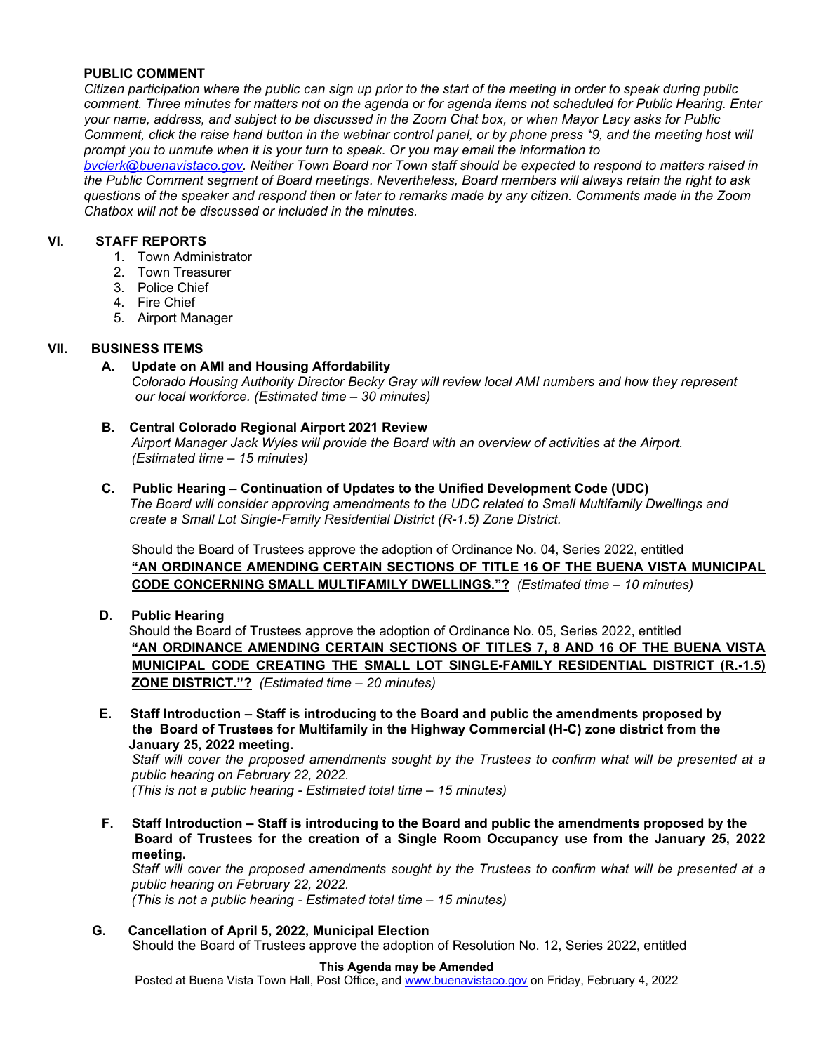### **PUBLIC COMMENT**

*Citizen participation where the public can sign up prior to the start of the meeting in order to speak during public comment. Three minutes for matters not on the agenda or for agenda items not scheduled for Public Hearing. Enter your name, address, and subject to be discussed in the Zoom Chat box, or when Mayor Lacy asks for Public Comment, click the raise hand button in the webinar control panel, or by phone press \*9, and the meeting host will prompt you to unmute when it is your turn to speak. Or you may email the information to* 

*[bvclerk@buenavistaco.gov.](mailto:bvclerk@buenavistaco.gov) Neither Town Board nor Town staff should be expected to respond to matters raised in the Public Comment segment of Board meetings. Nevertheless, Board members will always retain the right to ask questions of the speaker and respond then or later to remarks made by any citizen. Comments made in the Zoom Chatbox will not be discussed or included in the minutes.* 

### **VI. STAFF REPORTS**

- 1. Town Administrator
- 2. Town Treasurer
- 3. Police Chief
- 4. Fire Chief
- 5. Airport Manager

### **VII. BUSINESS ITEMS**

**A. Update on AMI and Housing Affordability** 

*Colorado Housing Authority Director Becky Gray will review local AMI numbers and how they represent our local workforce. (Estimated time – 30 minutes)* 

# **B. Central Colorado Regional Airport 2021 Review**

*Airport Manager Jack Wyles will provide the Board with an overview of activities at the Airport. (Estimated time – 15 minutes)*

**C. Public Hearing – Continuation of Updates to the Unified Development Code (UDC)** *The Board will consider approving amendments to the UDC related to Small Multifamily Dwellings and create a Small Lot Single-Family Residential District (R-1.5) Zone District.*

Should the Board of Trustees approve the adoption of Ordinance No. 04, Series 2022, entitled **"AN ORDINANCE AMENDING CERTAIN SECTIONS OF TITLE 16 OF THE BUENA VISTA MUNICIPAL CODE CONCERNING SMALL MULTIFAMILY DWELLINGS."?** *(Estimated time – 10 minutes)*

**D**. **Public Hearing** 

 Should the Board of Trustees approve the adoption of Ordinance No. 05, Series 2022, entitled **"AN ORDINANCE AMENDING CERTAIN SECTIONS OF TITLES 7, 8 AND 16 OF THE BUENA VISTA MUNICIPAL CODE CREATING THE SMALL LOT SINGLE-FAMILY RESIDENTIAL DISTRICT (R.-1.5) ZONE DISTRICT."?** *(Estimated time – 20 minutes)*

**E. Staff Introduction – Staff is introducing to the Board and public the amendments proposed by the Board of Trustees for Multifamily in the Highway Commercial (H-C) zone district from the January 25, 2022 meeting.**

*Staff will cover the proposed amendments sought by the Trustees to confirm what will be presented at a public hearing on February 22, 2022.*

*(This is not a public hearing - Estimated total time – 15 minutes)*

**F. Staff Introduction – Staff is introducing to the Board and public the amendments proposed by the Board of Trustees for the creation of a Single Room Occupancy use from the January 25, 2022 meeting.** 

*Staff will cover the proposed amendments sought by the Trustees to confirm what will be presented at a public hearing on February 22, 2022.*

*(This is not a public hearing - Estimated total time – 15 minutes)*

#### **G. Cancellation of April 5, 2022, Municipal Election** Should the Board of Trustees approve the adoption of Resolution No. 12, Series 2022, entitled

#### **This Agenda may be Amended**

Posted at Buena Vista Town Hall, Post Office, an[d www.buenavistaco.gov](http://www.buenavistaco.gov/) on Friday, February 4, 2022